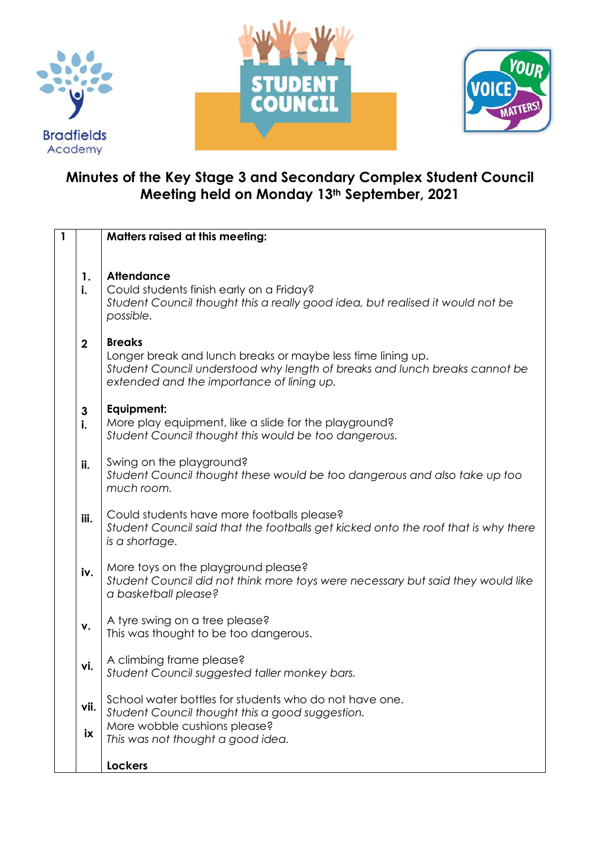





## **Minutes of the Key Stage 3 and Secondary Complex Student Council Meeting held on Monday 13th September, 2021**

| $\mathbf{1}$ |             | <b>Matters raised at this meeting:</b>                                                                                                                                                                  |
|--------------|-------------|---------------------------------------------------------------------------------------------------------------------------------------------------------------------------------------------------------|
|              |             |                                                                                                                                                                                                         |
|              | 1.<br>i.    | <b>Attendance</b><br>Could students finish early on a Friday?<br>Student Council thought this a really good idea, but realised it would not be<br>possible.                                             |
|              | $\mathbf 2$ | <b>Breaks</b><br>Longer break and lunch breaks or maybe less time lining up.<br>Student Council understood why length of breaks and lunch breaks cannot be<br>extended and the importance of lining up. |
|              | 3<br>i.     | Equipment:<br>More play equipment, like a slide for the playground?<br>Student Council thought this would be too dangerous.                                                                             |
|              | ii.         | Swing on the playground?<br>Student Council thought these would be too dangerous and also take up too<br>much room.                                                                                     |
|              | iii.        | Could students have more footballs please?<br>Student Council said that the footballs get kicked onto the roof that is why there<br>is a shortage.                                                      |
|              | iv.         | More toys on the playground please?<br>Student Council did not think more toys were necessary but said they would like<br>a basketball please?                                                          |
|              | ٧.          | A tyre swing on a tree please?<br>This was thought to be too dangerous.                                                                                                                                 |
|              | vi.         | A climbing frame please?<br>Student Council suggested taller monkey bars.                                                                                                                               |
|              | vii.<br>iх  | School water bottles for students who do not have one.<br>Student Council thought this a good suggestion.<br>More wobble cushions please?<br>This was not thought a good idea.                          |
|              |             | <b>Lockers</b>                                                                                                                                                                                          |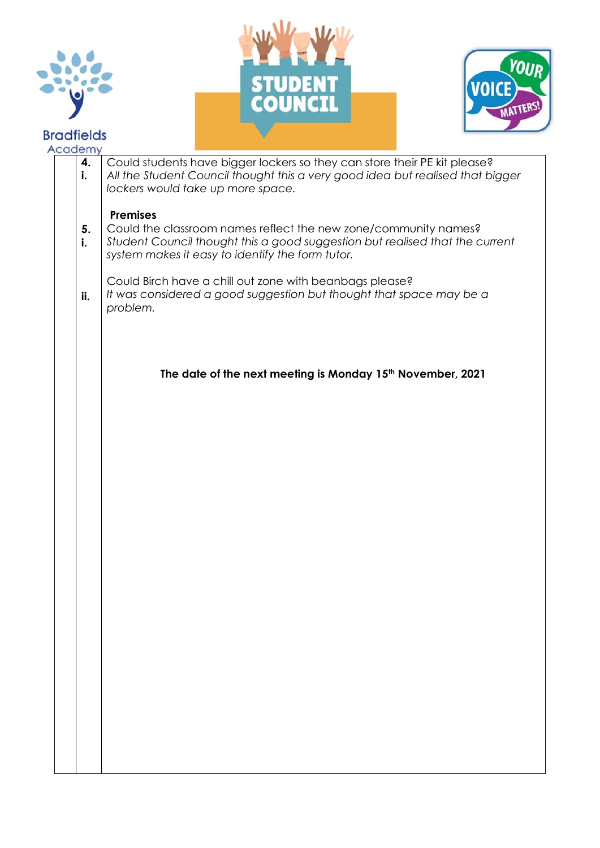





|  | Academy  |                                                                                                                                                                                                                        |
|--|----------|------------------------------------------------------------------------------------------------------------------------------------------------------------------------------------------------------------------------|
|  | 4.<br>i. | Could students have bigger lockers so they can store their PE kit please?<br>All the Student Council thought this a very good idea but realised that bigger<br>lockers would take up more space.                       |
|  | 5.<br>i. | <b>Premises</b><br>Could the classroom names reflect the new zone/community names?<br>Student Council thought this a good suggestion but realised that the current<br>system makes it easy to identify the form tutor. |
|  | ii.      | Could Birch have a chill out zone with beanbags please?<br>It was considered a good suggestion but thought that space may be a<br>problem.                                                                             |
|  |          | The date of the next meeting is Monday 15 <sup>th</sup> November, 2021                                                                                                                                                 |
|  |          |                                                                                                                                                                                                                        |
|  |          |                                                                                                                                                                                                                        |
|  |          |                                                                                                                                                                                                                        |
|  |          |                                                                                                                                                                                                                        |
|  |          |                                                                                                                                                                                                                        |
|  |          |                                                                                                                                                                                                                        |
|  |          |                                                                                                                                                                                                                        |
|  |          |                                                                                                                                                                                                                        |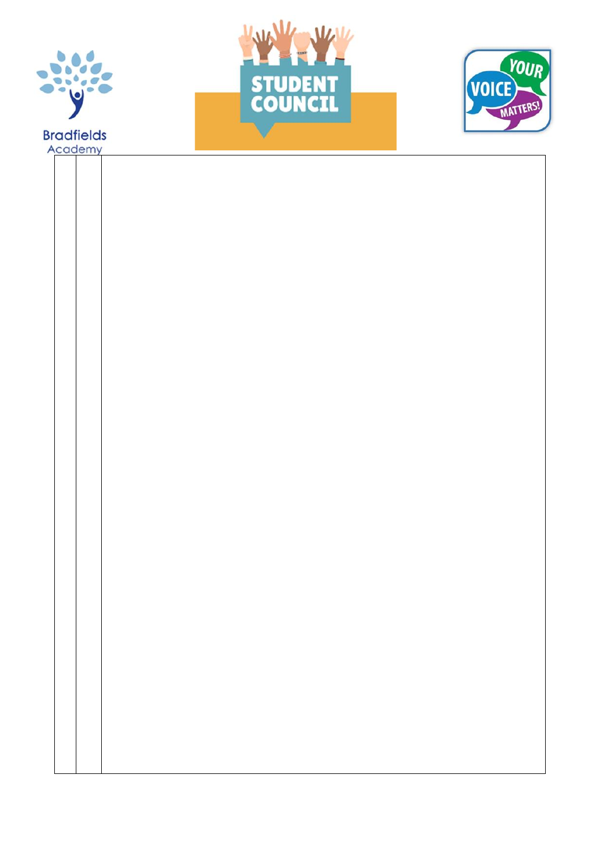

Academy